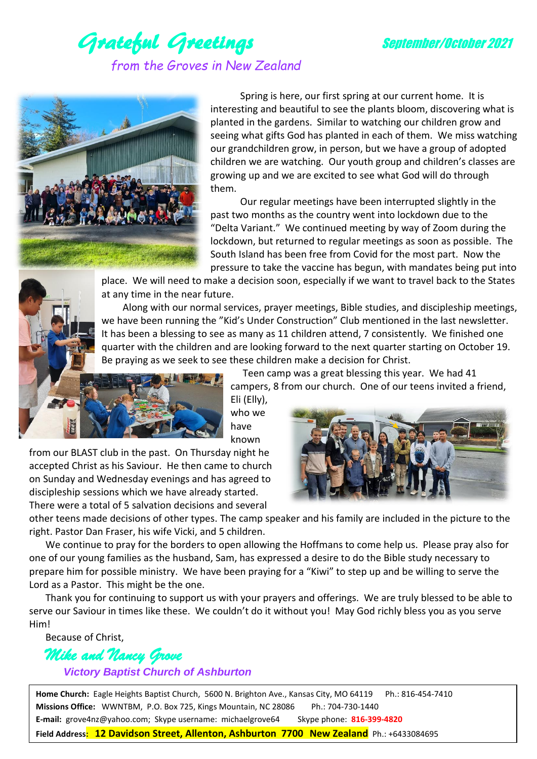

## Grateful Greetings September/October 2021 *from the Groves in New Zealand*



Spring is here, our first spring at our current home. It is interesting and beautiful to see the plants bloom, discovering what is planted in the gardens. Similar to watching our children grow and seeing what gifts God has planted in each of them. We miss watching our grandchildren grow, in person, but we have a group of adopted children we are watching. Our youth group and children's classes are growing up and we are excited to see what God will do through them.

Our regular meetings have been interrupted slightly in the past two months as the country went into lockdown due to the "Delta Variant." We continued meeting by way of Zoom during the lockdown, but returned to regular meetings as soon as possible. The South Island has been free from Covid for the most part. Now the pressure to take the vaccine has begun, with mandates being put into

place. We will need to make a decision soon, especially if we want to travel back to the States at any time in the near future.

 Along with our normal services, prayer meetings, Bible studies, and discipleship meetings, we have been running the "Kid's Under Construction" Club mentioned in the last newsletter. It has been a blessing to see as many as 11 children attend, 7 consistently. We finished one quarter with the children and are looking forward to the next quarter starting on October 19. Be praying as we seek to see these children make a decision for Christ.



Teen camp was a great blessing this year. We had 41 campers, 8 from our church. One of our teens invited a friend,

Eli (Elly), who we have known

from our BLAST club in the past. On Thursday night he accepted Christ as his Saviour. He then came to church on Sunday and Wednesday evenings and has agreed to discipleship sessions which we have already started. There were a total of 5 salvation decisions and several



other teens made decisions of other types. The camp speaker and his family are included in the picture to the right. Pastor Dan Fraser, his wife Vicki, and 5 children.

We continue to pray for the borders to open allowing the Hoffmans to come help us. Please pray also for one of our young families as the husband, Sam, has expressed a desire to do the Bible study necessary to prepare him for possible ministry. We have been praying for a "Kiwi" to step up and be willing to serve the Lord as a Pastor. This might be the one.

Thank you for continuing to support us with your prayers and offerings. We are truly blessed to be able to serve our Saviour in times like these. We couldn't do it without you! May God richly bless you as you serve Him!

Because of Christ,

## *Mike and Nancy Grove*

 *Victory Baptist Church of Ashburton*

Home Church: Eagle Heights Baptist Church, 5600 N. Brighton Ave., Kansas City, MO 64119 Ph.: 816-454-7410 **Missions Office:** WWNTBM, P.O. Box 725, Kings Mountain, NC 28086 Ph.: 704-730-1440 **E-mail:** grove4nz@yahoo.com; Skype username: michaelgrove64 Skype phone: **816-399-4820 Field Address: 12 Davidson Street, Allenton, Ashburton 7700 New Zealand** Ph.: +6433084695